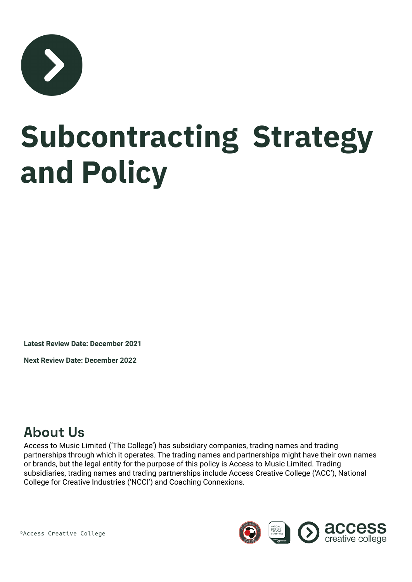

## **Subcontracting Strategy and Policy**

**Latest Review Date: December 2021**

**Next Review Date: December 2022**

## **About Us**

Access to Music Limited ('The College') has subsidiary companies, trading names and trading partnerships through which it operates. The trading names and partnerships might have their own names or brands, but the legal entity for the purpose of this policy is Access to Music Limited. Trading subsidiaries, trading names and trading partnerships include Access Creative College ('ACC'), National College for Creative Industries ('NCCI') and Coaching Connexions.



©Access Creative College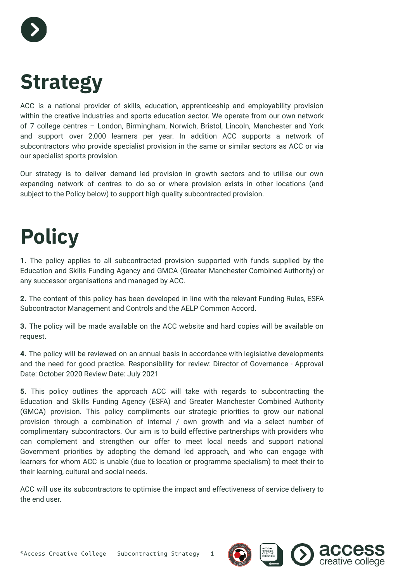

## **Strategy**

ACC is a national provider of skills, education, apprenticeship and employability provision within the creative industries and sports education sector. We operate from our own network of 7 college centres – London, Birmingham, Norwich, Bristol, Lincoln, Manchester and York and support over 2,000 learners per year. In addition ACC supports a network of subcontractors who provide specialist provision in the same or similar sectors as ACC or via our specialist sports provision.

Our strategy is to deliver demand led provision in growth sectors and to utilise our own expanding network of centres to do so or where provision exists in other locations (and subject to the Policy below) to support high quality subcontracted provision.

## **Policy**

**1.** The policy applies to all subcontracted provision supported with funds supplied by the Education and Skills Funding Agency and GMCA (Greater Manchester Combined Authority) or any successor organisations and managed by ACC.

**2.** The content of this policy has been developed in line with the relevant Funding Rules, ESFA Subcontractor Management and Controls and the AELP Common Accord.

**3.** The policy will be made available on the ACC website and hard copies will be available on request.

**4.** The policy will be reviewed on an annual basis in accordance with legislative developments and the need for good practice. Responsibility for review: Director of Governance - Approval Date: October 2020 Review Date: July 2021

**5.** This policy outlines the approach ACC will take with regards to subcontracting the Education and Skills Funding Agency (ESFA) and Greater Manchester Combined Authority (GMCA) provision. This policy compliments our strategic priorities to grow our national provision through a combination of internal / own growth and via a select number of complimentary subcontractors. Our aim is to build effective partnerships with providers who can complement and strengthen our offer to meet local needs and support national Government priorities by adopting the demand led approach, and who can engage with learners for whom ACC is unable (due to location or programme specialism) to meet their to their learning, cultural and social needs.

ACC will use its subcontractors to optimise the impact and effectiveness of service delivery to the end user.

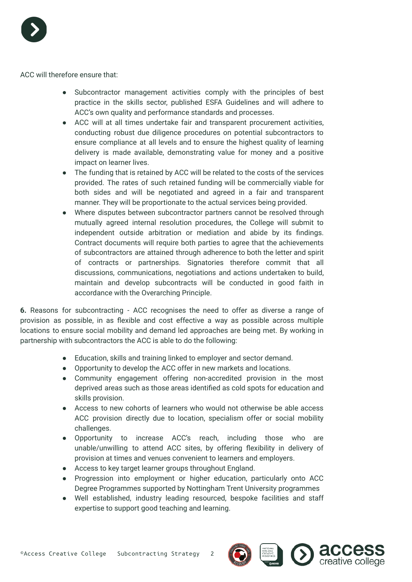

ACC will therefore ensure that:

- Subcontractor management activities comply with the principles of best practice in the skills sector, published ESFA Guidelines and will adhere to ACC's own quality and performance standards and processes.
- ACC will at all times undertake fair and transparent procurement activities, conducting robust due diligence procedures on potential subcontractors to ensure compliance at all levels and to ensure the highest quality of learning delivery is made available, demonstrating value for money and a positive impact on learner lives.
- The funding that is retained by ACC will be related to the costs of the services provided. The rates of such retained funding will be commercially viable for both sides and will be negotiated and agreed in a fair and transparent manner. They will be proportionate to the actual services being provided.
- Where disputes between subcontractor partners cannot be resolved through mutually agreed internal resolution procedures, the College will submit to independent outside arbitration or mediation and abide by its findings. Contract documents will require both parties to agree that the achievements of subcontractors are attained through adherence to both the letter and spirit of contracts or partnerships. Signatories therefore commit that all discussions, communications, negotiations and actions undertaken to build, maintain and develop subcontracts will be conducted in good faith in accordance with the Overarching Principle.

**6.** Reasons for subcontracting - ACC recognises the need to offer as diverse a range of provision as possible, in as flexible and cost effective a way as possible across multiple locations to ensure social mobility and demand led approaches are being met. By working in partnership with subcontractors the ACC is able to do the following:

- Education, skills and training linked to employer and sector demand.
- Opportunity to develop the ACC offer in new markets and locations.
- Community engagement offering non-accredited provision in the most deprived areas such as those areas identified as cold spots for education and skills provision.
- Access to new cohorts of learners who would not otherwise be able access ACC provision directly due to location, specialism offer or social mobility challenges.
- Opportunity to increase ACC's reach, including those who are unable/unwilling to attend ACC sites, by offering flexibility in delivery of provision at times and venues convenient to learners and employers.
- Access to key target learner groups throughout England.
- Progression into employment or higher education, particularly onto ACC Degree Programmes supported by Nottingham Trent University programmes
- Well established, industry leading resourced, bespoke facilities and staff expertise to support good teaching and learning.



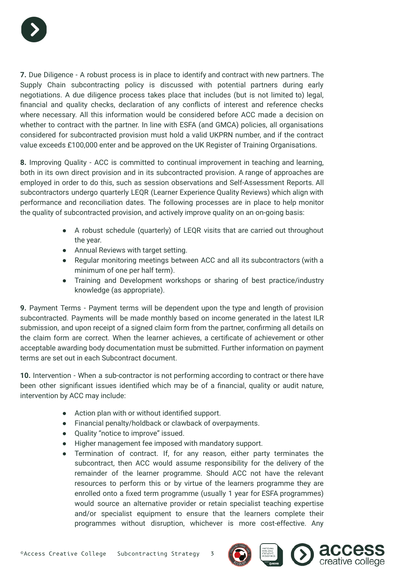

**7.** Due Diligence - A robust process is in place to identify and contract with new partners. The Supply Chain subcontracting policy is discussed with potential partners during early negotiations. A due diligence process takes place that includes (but is not limited to) legal, financial and quality checks, declaration of any conflicts of interest and reference checks where necessary. All this information would be considered before ACC made a decision on whether to contract with the partner. In line with ESFA (and GMCA) policies, all organisations considered for subcontracted provision must hold a valid UKPRN number, and if the contract value exceeds £100,000 enter and be approved on the UK Register of Training Organisations.

**8.** Improving Quality - ACC is committed to continual improvement in teaching and learning, both in its own direct provision and in its subcontracted provision. A range of approaches are employed in order to do this, such as session observations and Self-Assessment Reports. All subcontractors undergo quarterly LEQR (Learner Experience Quality Reviews) which align with performance and reconciliation dates. The following processes are in place to help monitor the quality of subcontracted provision, and actively improve quality on an on-going basis:

- A robust schedule (quarterly) of LEQR visits that are carried out throughout the year.
- Annual Reviews with target setting.
- Regular monitoring meetings between ACC and all its subcontractors (with a minimum of one per half term).
- Training and Development workshops or sharing of best practice/industry knowledge (as appropriate).

**9.** Payment Terms - Payment terms will be dependent upon the type and length of provision subcontracted. Payments will be made monthly based on income generated in the latest ILR submission, and upon receipt of a signed claim form from the partner, confirming all details on the claim form are correct. When the learner achieves, a certificate of achievement or other acceptable awarding body documentation must be submitted. Further information on payment terms are set out in each Subcontract document.

**10.** Intervention - When a sub-contractor is not performing according to contract or there have been other significant issues identified which may be of a financial, quality or audit nature, intervention by ACC may include:

- Action plan with or without identified support.
- Financial penalty/holdback or clawback of overpayments.
- Quality "notice to improve" issued.
- Higher management fee imposed with mandatory support.
- Termination of contract. If, for any reason, either party terminates the subcontract, then ACC would assume responsibility for the delivery of the remainder of the learner programme. Should ACC not have the relevant resources to perform this or by virtue of the learners programme they are enrolled onto a fixed term programme (usually 1 year for ESFA programmes) would source an alternative provider or retain specialist teaching expertise and/or specialist equipment to ensure that the learners complete their programmes without disruption, whichever is more cost-effective. Any